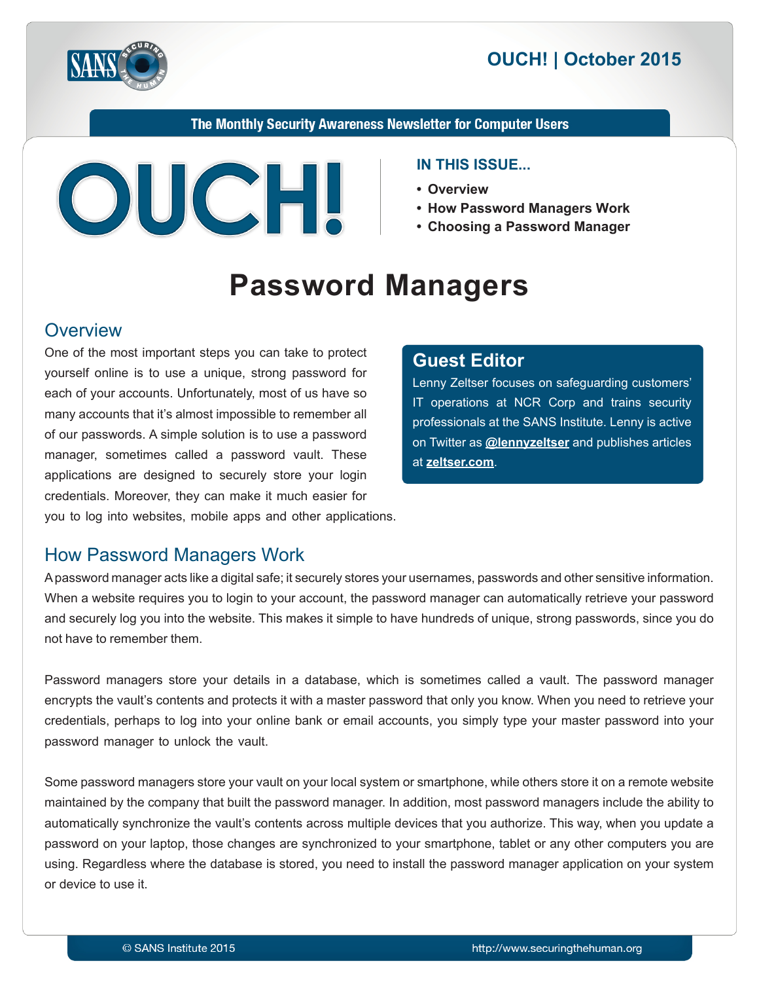



The Monthly Security Awareness Newsletter for Computer Users



#### **IN THIS ISSUE...**

- **Overview•**
- How Password Managers Work
- **Choosing a Password Manager**

# **Password Managers**

#### **Overview**

One of the most important steps you can take to protect yourself online is to use a unique, strong password for each of your accounts. Unfortunately, most of us have so many accounts that it's almost impossible to remember all of our passwords. A simple solution is to use a password manager, sometimes called a password vault. These applications are designed to securely store your login credentials. Moreover, they can make it much easier for you to log into websites, mobile apps and other applications.

#### **Editor Guest**

Lenny Zeltser focuses on safeguarding customers' IT operations at NCR Corp and trains security professionals at the SANS Institute. Lenny is active  $\alpha$  Twitter as **@[lennyzeltser](https://twitter.com/lennyzeltser?lang=en)** and publishes articles at zeltser.com.

## How Password Managers Work

A password manager acts like a digital safe; it securely stores your usernames, passwords and other sensitive information. When a website requires you to login to your account, the password manager can automatically retrieve your password and securely log you into the website. This makes it simple to have hundreds of unique, strong passwords, since you do not have to remember them.

Password managers store your details in a database, which is sometimes called a vault. The password manager encrypts the vault's contents and protects it with a master password that only you know. When you need to retrieve your credentials, perhaps to log into your online bank or email accounts, you simply type your master password into your password manager to unlock the vault.

Some password managers store your vault on your local system or smartphone, while others store it on a remote website maintained by the company that built the password manager. In addition, most password managers include the ability to automatically synchronize the vault's contents across multiple devices that you authorize. This way, when you update a password on your laptop, those changes are synchronized to your smartphone, tablet or any other computers you are using. Regardless where the database is stored, you need to install the password manager application on your system or device to use it.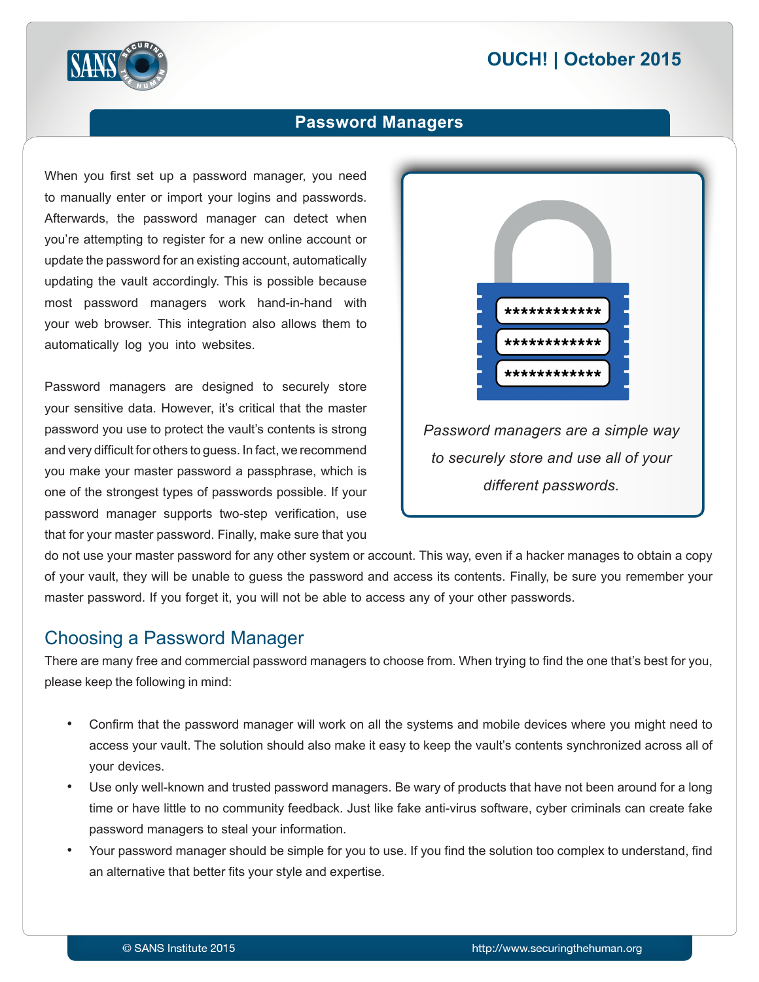# **2015 | October 2015**



#### **Password Managers**

When you first set up a password manager, you need to manually enter or import your logins and passwords. Afterwards, the password manager can detect when you're attempting to register for a new online account or update the password for an existing account, automatically updating the vault accordingly. This is possible because most password managers work hand-in-hand with your web browser. This integration also allows them to automatically log you into websites.

Password managers are designed to securely store your sensitive data. However, it's critical that the master password you use to protect the vault's contents is strong and very difficult for others to guess. In fact, we recommend you make your master password a passphrase, which is one of the strongest types of passwords possible. If your password manager supports two-step verification, use that for your master password. Finally, make sure that you



do not use your master password for any other system or account. This way, even if a hacker manages to obtain a copy of your vault, they will be unable to guess the password and access its contents. Finally, be sure you remember your master password. If you forget it, you will not be able to access any of your other passwords.

## Choosing a Password Manager

There are many free and commercial password managers to choose from. When trying to find the one that's best for you, please keep the following in mind:

- Confirm that the password manager will work on all the systems and mobile devices where you might need to access your vault. The solution should also make it easy to keep the vault's contents synchronized across all of your devices.
- Use only well-known and trusted password managers. Be wary of products that have not been around for a long time or have little to no community feedback. Just like fake anti-virus software, cyber criminals can create fake password managers to steal your information.
- Your password manager should be simple for you to use. If you find the solution too complex to understand, find an alternative that better fits your style and expertise.